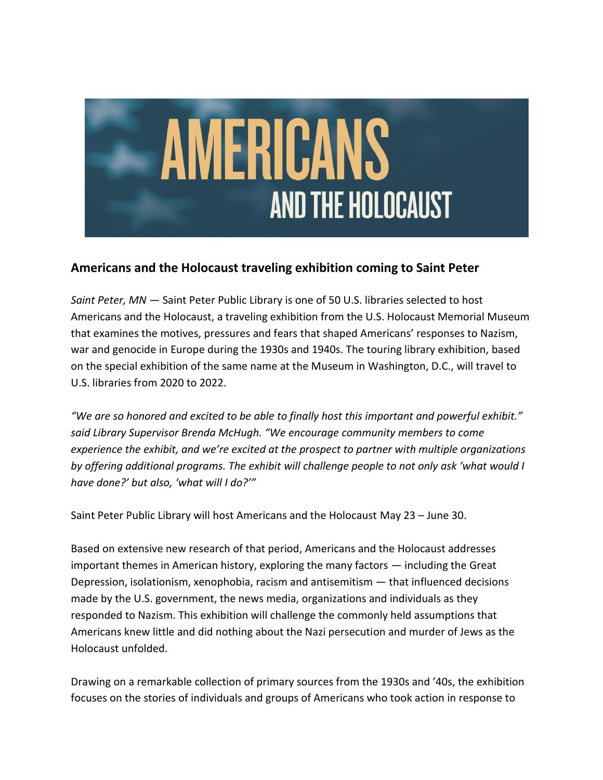

## **Americans and the Holocaust traveling exhibition coming to Saint Peter**

*Saint Peter, MN* — Saint Peter Public Library is one of 50 U.S. libraries selected to host Americans and the Holocaust, a traveling exhibition from the U.S. Holocaust Memorial Museum that examines the motives, pressures and fears that shaped Americans' responses to Nazism, war and genocide in Europe during the 1930s and 1940s. The touring library exhibition, based on the special exhibition of the same name at the Museum in Washington, D.C., will travel to U.S. libraries from 2020 to 2022.

*"We are so honored and excited to be able to finally host this important and powerful exhibit." said Library Supervisor Brenda McHugh. "We encourage community members to come experience the exhibit, and we're excited at the prospect to partner with multiple organizations by offering additional programs. The exhibit will challenge people to not only ask 'what would I have done?' but also, 'what will I do?'"* 

Saint Peter Public Library will host Americans and the Holocaust May 23 – June 30.

Based on extensive new research of that period, Americans and the Holocaust addresses important themes in American history, exploring the many factors — including the Great Depression, isolationism, xenophobia, racism and antisemitism — that influenced decisions made by the U.S. government, the news media, organizations and individuals as they responded to Nazism. This exhibition will challenge the commonly held assumptions that Americans knew little and did nothing about the Nazi persecution and murder of Jews as the Holocaust unfolded.

Drawing on a remarkable collection of primary sources from the 1930s and '40s, the exhibition focuses on the stories of individuals and groups of Americans who took action in response to